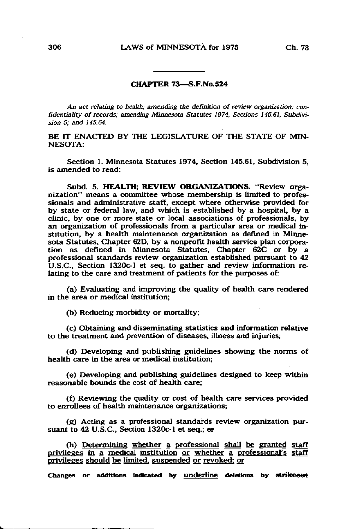## CHAPTER 73—S.F.No.524

An act relating to health; amending the definition of review organization; confidentiality of records; amending Minnesota Statutes 1974, Sections 145.61, Subdivision 5; and 145.64.

BE IT ENACTED BY THE LEGISLATURE OF THE STATE OF MIN-NESOTA:

Section 1. Minnesota Statutes 1974, Section 145.61, Subdivision 5, is amended to read:

Subd. 5. HEALTH; REVIEW ORGANIZATIONS. "Review organization" means a committee whose membership is limited to professionals and administrative staff, except where otherwise provided for by state or federal law, and which is established by a hospital, by a clinic, by one or more state or local associations of professionals, by an organization of professionals from a particular area or medical institution, by a health maintenance organization as defined in Minnesota Statutes, Chapter 62D, by a nonprofit health service plan corporation as defined in Minnesota Statutes, Chapter 62C or by a professional standards review organization established pursuant to 42 U.S.C., Section 1320c-l et seq. to gather and review information relating to the care and treatment of patients for the purposes of:

(a) Evaluating and improving the quality of health care rendered in the area or medical institution;

(b) Reducing morbidity or mortality;

(c) Obtaining and disseminating statistics and information relative to the treatment and prevention of diseases, illness and injuries;

(d) Developing and publishing guidelines showing the norms of health care in the area or medical institution;

(e) Developing and publishing guidelines designed to keep within reasonable bounds the cost of health care;

(f) Reviewing the quality or cost of health care services provided to enrollees of health maintenance organizations;

(g) Acting as a professional standards review organization pursuant to  $42$  U.S.C., Section 1320c-1 et seq.;  $er$ 

(h) Determinine whether a professional shall be granted staff privileges in a medical institution or whether a professional's staff privileges should be limited, suspended or revoked: or

Changes or additions indicated by underline deletions by strikeout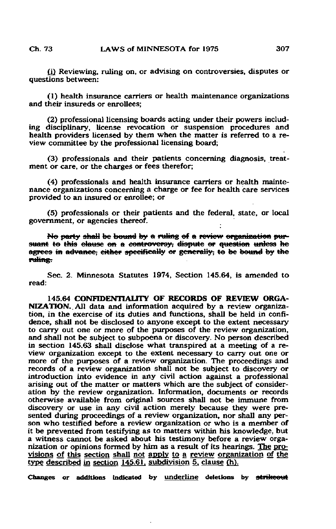fi) Reviewing, ruling on, or advising on controversies, disputes or questions between:

(1) health insurance carriers or health maintenance organizations and their insureds or enrollees;

(2) professional licensing boards acting under their powers including disciplinary, license revocation or suspension procedures and health providers licensed by them when the matter is referred to a review committee by the professional licensing board;

(3) professionals and their patients concerning diagnosis, treatment or care, or the charges or fees therefor;

(4) professionals and health insurance carriers or health maintenance organizations concerning a charge or fee for health care services provided to an insured or enrollee; or

(5) professionals or their patients and the federal, state, or local government, or agencies thereof.

No party shall be bound by a ruling of a review organization pursuant to this clause on a controversy, dispute or question unless he agrees in advance, cither specifically or generally; to be bound by the ruline.

Sec. 2. Minnesota Statutes 1974, Section 145.64, is amended to read:

145.64 CONFIDENTIALITY OF RECORDS OF REVIEW ORGA-NIZATION. All data and information acquired by a review organization, in the exercise of its duties and functions, shall be held in confidence, shall not be disclosed to anyone except to the extent necessary to carry out one or more of the purposes of the review organization, and shall not be subject to subpoena or discovery. No person described in section 145.63 shall disclose what transpired at a meeting of a review organization except to the extent necessary to carry out one or more of the purposes of a review organization. The proceedings and records of a review organization shall not be subject to discovery or introduction into evidence in any civil action against a professional arising out of the matter or matters which are the subject of consideration by the review organization. Information, documents or records otherwise available from original sources shall not be immune from discovery or use in any civil action merely because they were presented during proceedings of a review organization, nor shall any person who testified before a review organization or who is a member of it be prevented from testifying as to matters within his knowledge, but a witness cannot be asked about his testimony before a review organization or opinions formed by him as a result of its hearings. The provisions of this section shall not apply to a review organization of the type described in section 145.61. subdivision 5. clause (h).

Changes or additions indicated by underline deletions by strikeout